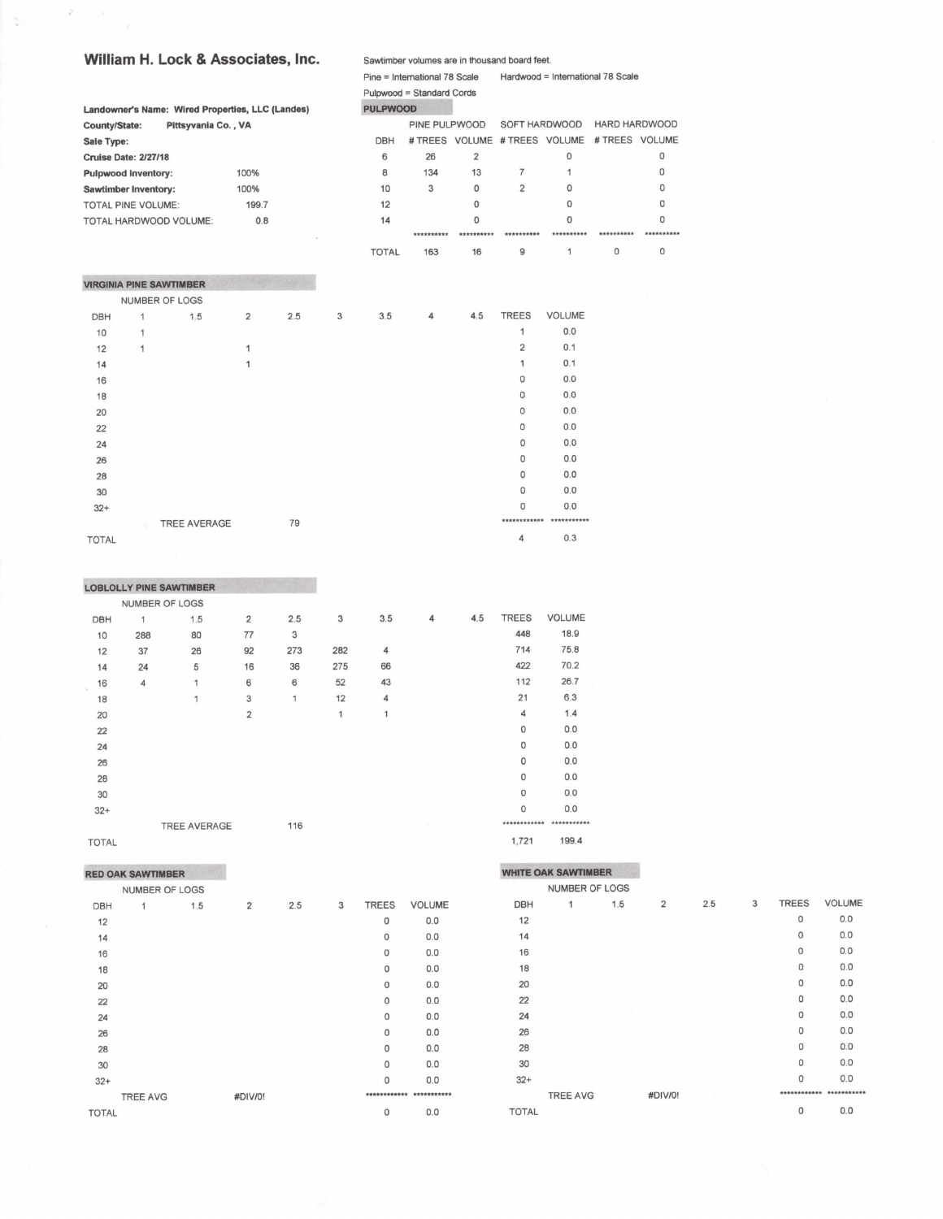## William H. Lock & Associates, Inc.

|                           |                                |                                                  |                |     |   |                 | Pulpwood = Standard Cords     |                |                |               |                |              |
|---------------------------|--------------------------------|--------------------------------------------------|----------------|-----|---|-----------------|-------------------------------|----------------|----------------|---------------|----------------|--------------|
|                           |                                | Landowner's Name: Wired Properties, LLC (Landes) |                |     |   | <b>PULPWOOD</b> |                               |                |                |               |                |              |
| County/State:             |                                | Pittsyvania Co., VA                              |                |     |   |                 | PINE PULPWOOD                 |                | SOFT HARDWOOD  |               | HARD HARDWOOD  |              |
| Sale Type:                |                                |                                                  |                |     |   | DBH             | # TREES VOLUME # TREES VOLUME |                |                |               | # TREES VOLUME |              |
|                           | <b>Cruise Date: 2/27/18</b>    |                                                  |                |     |   | 6               | 26                            | $\overline{2}$ |                | 0             |                | $\mathbf 0$  |
|                           | <b>Pulpwood Inventory:</b>     |                                                  | 100%<br>100%   |     |   | 8               | 134                           | 13             | $\overline{7}$ | 1             |                | $\Omega$     |
|                           | <b>Sawtimber Inventory:</b>    |                                                  |                |     |   | 10              | 3                             | $\mathbf 0$    | $\overline{2}$ | $\Omega$      |                | $\circ$      |
| <b>TOTAL PINE VOLUME:</b> |                                |                                                  | 199.7          |     |   | 12              |                               | $\mathbf 0$    |                | $\Omega$      |                | 0            |
|                           |                                | TOTAL HARDWOOD VOLUME:                           | 0.8            |     |   | 14              |                               | 0              |                | 0             |                | 0            |
|                           |                                |                                                  |                |     |   |                 | **********                    | **********     | **********     | **********    | **********     | **********   |
|                           |                                |                                                  |                |     |   | <b>TOTAL</b>    | 163                           | 16             | 9              | 1             | $\mathbf{O}$   | $\mathbf{0}$ |
|                           | <b>VIRGINIA PINE SAWTIMBER</b> |                                                  |                |     |   |                 |                               |                |                |               |                |              |
|                           | NUMBER OF LOGS                 |                                                  |                |     |   |                 |                               |                |                |               |                |              |
| <b>DBH</b>                | 1                              | 1.5                                              | $\overline{2}$ | 2.5 | 3 | 3.5             | $\overline{4}$                | 4.5            | <b>TREES</b>   | <b>VOLUME</b> |                |              |
| 10                        | 1                              |                                                  |                |     |   |                 |                               |                | 1              | 0.0           |                |              |
| 12                        | 1                              |                                                  | 1              |     |   |                 |                               |                | $\overline{2}$ | 0.1           |                |              |
| 14                        |                                |                                                  | 1              |     |   |                 |                               |                | 1              | 0.1           |                |              |
| 16                        |                                |                                                  |                |     |   |                 |                               |                | 0              | 0.0           |                |              |
| 18                        |                                |                                                  |                |     |   |                 |                               |                | $\mathbf 0$    | 0.0           |                |              |
| 20                        |                                |                                                  |                |     |   |                 |                               |                | $\circ$        | 0.0           |                |              |
| 22                        |                                |                                                  |                |     |   |                 |                               |                | 0              | 0.0           |                |              |
| 24                        |                                |                                                  |                |     |   |                 |                               |                | $\Omega$       | 0.0           |                |              |
| 26                        |                                |                                                  |                |     |   |                 |                               |                | $\circ$        | 0.0           |                |              |
| 28                        |                                |                                                  |                |     |   |                 |                               |                | $\circ$        | 0.0           |                |              |
| 30                        |                                |                                                  |                |     |   |                 |                               |                | $\mathbf{0}$   | 0.0           |                |              |
| $32+$                     |                                |                                                  |                |     |   |                 |                               |                | $\Omega$       | 0.0           |                |              |
|                           |                                | <b>TREE AVERAGE</b>                              |                | 79  |   |                 |                               |                | ************   | ***********   |                |              |
| <b>TOTAL</b>              |                                |                                                  |                |     |   |                 |                               |                | 4              | 0.3           |                |              |

Sawtimber volumes are in thousand board feet.

Pine = International 78 Scale Hardwood = International 78 Scale

TOTAL

|              |                | <b>LOBLOLLY PINE SAWTIMBER</b> |                |     |              |     |   |     |              |               |
|--------------|----------------|--------------------------------|----------------|-----|--------------|-----|---|-----|--------------|---------------|
|              |                | NUMBER OF LOGS                 |                |     |              |     |   |     |              |               |
| <b>DBH</b>   | $\mathbf{1}$   | 1.5                            | $\overline{2}$ | 2.5 | 3            | 3.5 | 4 | 4.5 | <b>TREES</b> | <b>VOLUME</b> |
| 10           | 288            | 80                             | 77             | 3   |              |     |   |     | 448          | 18.9          |
| 12           | 37             | 26                             | 92             | 273 | 282          | 4   |   |     | 714          | 75.8          |
| 14           | 24             | 5                              | 16             | 36  | 275          | 66  |   |     | 422          | 70.2          |
| 16<br>÷      | $\overline{4}$ | 1                              | 6              | 6   | 52           | 43  |   |     | 112          | 26.7          |
| 18           |                | 1                              | 3              | 1   | 12           | 4   |   |     | 21           | 6.3           |
| 20           |                |                                | $\overline{2}$ |     | $\mathbf{1}$ | 1   |   |     | 4            | 1.4           |
| 22           |                |                                |                |     |              |     |   |     | $\mathbf{0}$ | 0.0           |
| 24           |                |                                |                |     |              |     |   |     | 0            | 0.0           |
| 26           |                |                                |                |     |              |     |   |     | $\circ$      | 0.0           |
| 28           |                |                                |                |     |              |     |   |     | $\circ$      | 0.0           |
| 30           |                |                                |                |     |              |     |   |     | $\circ$      | 0.0           |
| $32+$        |                |                                |                |     |              |     |   |     | $\Omega$     | 0.0           |
|              |                | <b>TREE AVERAGE</b>            |                | 116 |              |     |   |     |              |               |
| <b>TOTAL</b> |                |                                |                |     |              |     |   |     | 1,721        | 199.4         |

TOTAL

# **RED OAK SAWTIMBER**

|              | NUMBER OF LOGS  |     |                         |     |   |              |               |
|--------------|-----------------|-----|-------------------------|-----|---|--------------|---------------|
| <b>DBH</b>   | 1               | 1.5 | $\overline{\mathbf{2}}$ | 2.5 | 3 | <b>TREES</b> | <b>VOLUME</b> |
| 12           |                 |     |                         |     |   | 0            | 0.0           |
| 14           |                 |     |                         |     |   | 0            | 0.0           |
| 16           |                 |     |                         |     |   | O            | 0.0           |
| 18           |                 |     |                         |     |   | $\mathbf 0$  | 0.0           |
| 20           |                 |     |                         |     |   | 0            | 0.0           |
| 22           |                 |     |                         |     |   | 0            | 0.0           |
| 24           |                 |     |                         |     |   | 0            | 0.0           |
| 26           |                 |     |                         |     |   | 0            | 0.0           |
| 28           |                 |     |                         |     |   | 0            | 0.0           |
| 30           |                 |     |                         |     |   | $\mathbf{0}$ | 0.0           |
| $32+$        |                 |     |                         |     |   | $\mathbf 0$  | 0.0           |
|              | <b>TREE AVG</b> |     | #DIV/0!                 |     |   | **********   | ********      |
| <b>TOTAL</b> |                 |     |                         |     |   | 0            | 0.0           |
|              |                 |     |                         |     |   |              |               |

#### **WHITE OAK SAWTIMBER** NUMBER OF LOGS DBH  $1$  $\overline{2}$  $2.5$  $_{3}$ TREES VOLUME  $1.5$  $0.0\,$  $12$  $\circ$  $14$  $\mathsf{O}\xspace$  $0.0\,$  $\mathsf 0$  $0.0\,$ 16  $\mathsf{O}$  $0.0\,$  $18$  $\mathsf{O}$  $0.0\,$ 20  $22$  $\mathsf{O}$  $0.0\,$  $\,$  O  $0.0$  $24$  $\circ$  $0.0$ 26  $\mathsf{O}\xspace$  $0.0$ 28  $\mathsf{O}\xspace$  $0.0\,$ 30  $\mathsf{O}$  $0.0\,$  $32+$ \*\*\*\*\*\*\*\*\*\*\*\*\* \*\*\*\*\*\*\*\*\*\*\* TREE AVG #DIV/0!  $\,$  O  $0.0\,$ **TOTAL**